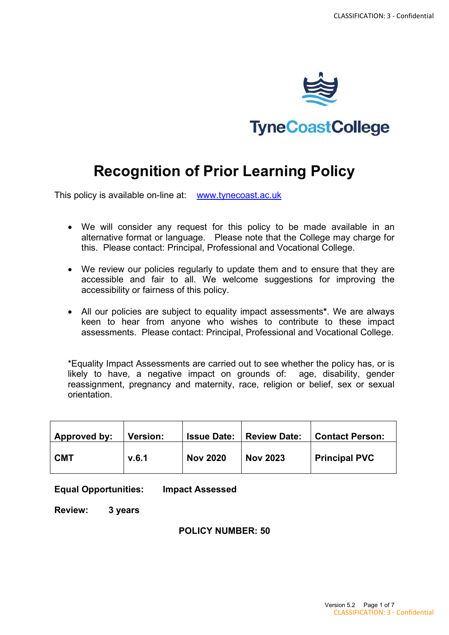

**TyneCoastCollege** 

# **Recognition of Prior Learning Policy**

This policy is available on-line at: [www.tynecoast.ac.uk](http://www.tynecoast.ac.uk/)

- We will consider any request for this policy to be made available in an alternative format or language. Please note that the College may charge for this. Please contact: Principal, Professional and Vocational College.
- We review our policies regularly to update them and to ensure that they are accessible and fair to all. We welcome suggestions for improving the accessibility or fairness of this policy.
- All our policies are subject to equality impact assessments**\***. We are always keen to hear from anyone who wishes to contribute to these impact assessments. Please contact: Principal, Professional and Vocational College.

\*Equality Impact Assessments are carried out to see whether the policy has, or is likely to have, a negative impact on grounds of: age, disability, gender reassignment, pregnancy and maternity, race, religion or belief, sex or sexual orientation.

| Approved by: | <b>Version:</b> | <b>Issue Date:</b> | <b>Review Date:</b> | <b>Contact Person:</b> |
|--------------|-----------------|--------------------|---------------------|------------------------|
| <b>CMT</b>   | V.6.1           | <b>Nov 2020</b>    | <b>Nov 2023</b>     | <b>Principal PVC</b>   |

**Equal Opportunities: Impact Assessed**

**Review: 3 years**

#### **POLICY NUMBER: 50**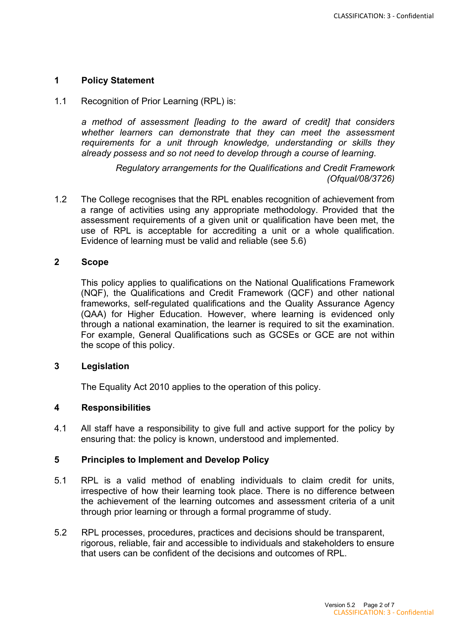#### **1 Policy Statement**

1.1 Recognition of Prior Learning (RPL) is:

*a method of assessment [leading to the award of credit] that considers whether learners can demonstrate that they can meet the assessment requirements for a unit through knowledge, understanding or skills they already possess and so not need to develop through a course of learning*.

> *Regulatory arrangements for the Qualifications and Credit Framework (Ofqual/08/3726)*

1.2 The College recognises that the RPL enables recognition of achievement from a range of activities using any appropriate methodology. Provided that the assessment requirements of a given unit or qualification have been met, the use of RPL is acceptable for accrediting a unit or a whole qualification. Evidence of learning must be valid and reliable (see 5.6)

#### **2 Scope**

This policy applies to qualifications on the National Qualifications Framework (NQF), the Qualifications and Credit Framework (QCF) and other national frameworks, self-regulated qualifications and the Quality Assurance Agency (QAA) for Higher Education. However, where learning is evidenced only through a national examination, the learner is required to sit the examination. For example, General Qualifications such as GCSEs or GCE are not within the scope of this policy.

#### **3 Legislation**

The Equality Act 2010 applies to the operation of this policy.

#### **4 Responsibilities**

4.1 All staff have a responsibility to give full and active support for the policy by ensuring that: the policy is known, understood and implemented.

#### **5 Principles to Implement and Develop Policy**

- 5.1 RPL is a valid method of enabling individuals to claim credit for units, irrespective of how their learning took place. There is no difference between the achievement of the learning outcomes and assessment criteria of a unit through prior learning or through a formal programme of study.
- 5.2 RPL processes, procedures, practices and decisions should be transparent, rigorous, reliable, fair and accessible to individuals and stakeholders to ensure that users can be confident of the decisions and outcomes of RPL.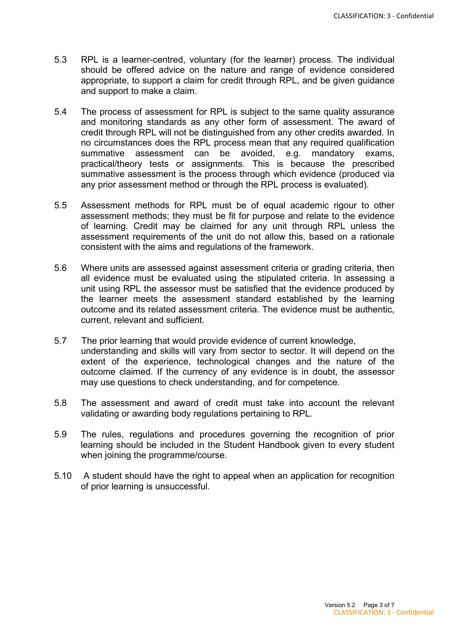- 5.3 RPL is a learner-centred, voluntary (for the learner) process. The individual should be offered advice on the nature and range of evidence considered appropriate, to support a claim for credit through RPL, and be given guidance and support to make a claim.
- 5.4 The process of assessment for RPL is subject to the same quality assurance and monitoring standards as any other form of assessment. The award of credit through RPL will not be distinguished from any other credits awarded. In no circumstances does the RPL process mean that any required qualification summative assessment can be avoided, e.g. mandatory exams, practical/theory tests or assignments. This is because the prescribed summative assessment is the process through which evidence (produced via any prior assessment method or through the RPL process is evaluated).
- 5.5 Assessment methods for RPL must be of equal academic rigour to other assessment methods; they must be fit for purpose and relate to the evidence of learning. Credit may be claimed for any unit through RPL unless the assessment requirements of the unit do not allow this, based on a rationale consistent with the aims and regulations of the framework.
- 5.6 Where units are assessed against assessment criteria or grading criteria, then all evidence must be evaluated using the stipulated criteria. In assessing a unit using RPL the assessor must be satisfied that the evidence produced by the learner meets the assessment standard established by the learning outcome and its related assessment criteria. The evidence must be authentic, current, relevant and sufficient.
- 5.7 The prior learning that would provide evidence of current knowledge, understanding and skills will vary from sector to sector. It will depend on the extent of the experience, technological changes and the nature of the outcome claimed. If the currency of any evidence is in doubt, the assessor may use questions to check understanding, and for competence.
- 5.8 The assessment and award of credit must take into account the relevant validating or awarding body regulations pertaining to RPL.
- 5.9 The rules, regulations and procedures governing the recognition of prior learning should be included in the Student Handbook given to every student when joining the programme/course.
- 5.10 A student should have the right to appeal when an application for recognition of prior learning is unsuccessful.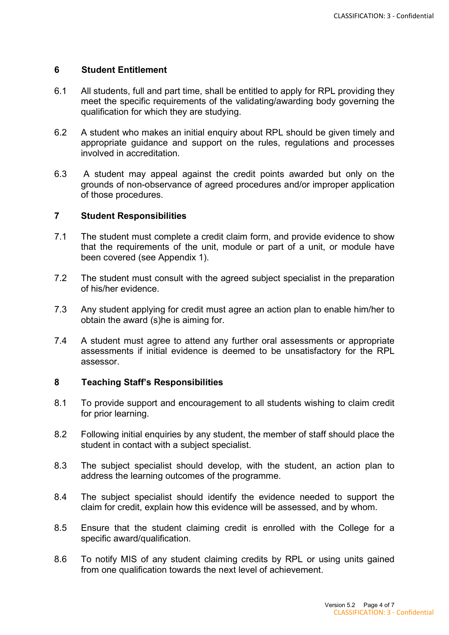#### **6 Student Entitlement**

- 6.1 All students, full and part time, shall be entitled to apply for RPL providing they meet the specific requirements of the validating/awarding body governing the qualification for which they are studying.
- 6.2 A student who makes an initial enquiry about RPL should be given timely and appropriate guidance and support on the rules, regulations and processes involved in accreditation.
- 6.3 A student may appeal against the credit points awarded but only on the grounds of non-observance of agreed procedures and/or improper application of those procedures.

#### **7 Student Responsibilities**

- 7.1 The student must complete a credit claim form, and provide evidence to show that the requirements of the unit, module or part of a unit, or module have been covered (see Appendix 1).
- 7.2 The student must consult with the agreed subject specialist in the preparation of his/her evidence.
- 7.3 Any student applying for credit must agree an action plan to enable him/her to obtain the award (s)he is aiming for.
- 7.4 A student must agree to attend any further oral assessments or appropriate assessments if initial evidence is deemed to be unsatisfactory for the RPL assessor.

#### **8 Teaching Staff's Responsibilities**

- 8.1 To provide support and encouragement to all students wishing to claim credit for prior learning.
- 8.2 Following initial enquiries by any student, the member of staff should place the student in contact with a subject specialist.
- 8.3 The subject specialist should develop, with the student, an action plan to address the learning outcomes of the programme.
- 8.4 The subject specialist should identify the evidence needed to support the claim for credit, explain how this evidence will be assessed, and by whom.
- 8.5 Ensure that the student claiming credit is enrolled with the College for a specific award/qualification.
- 8.6 To notify MIS of any student claiming credits by RPL or using units gained from one qualification towards the next level of achievement.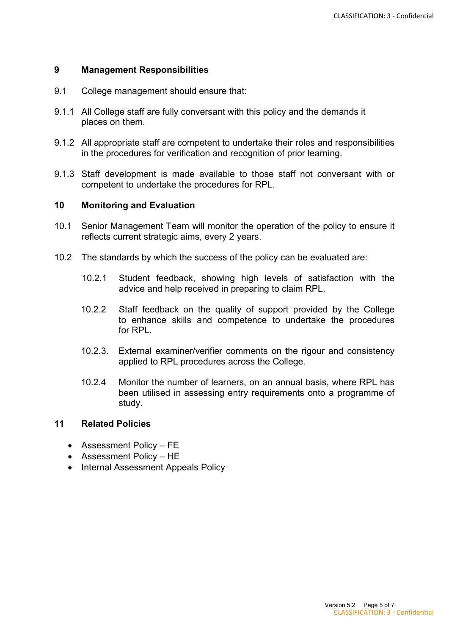#### **9 Management Responsibilities**

- 9.1 College management should ensure that:
- 9.1.1 All College staff are fully conversant with this policy and the demands it places on them.
- 9.1.2 All appropriate staff are competent to undertake their roles and responsibilities in the procedures for verification and recognition of prior learning.
- 9.1.3 Staff development is made available to those staff not conversant with or competent to undertake the procedures for RPL.

#### **10 Monitoring and Evaluation**

- 10.1 Senior Management Team will monitor the operation of the policy to ensure it reflects current strategic aims, every 2 years.
- 10.2 The standards by which the success of the policy can be evaluated are:
	- 10.2.1 Student feedback, showing high levels of satisfaction with the advice and help received in preparing to claim RPL.
	- 10.2.2 Staff feedback on the quality of support provided by the College to enhance skills and competence to undertake the procedures for RPL.
	- 10.2.3. External examiner/verifier comments on the rigour and consistency applied to RPL procedures across the College.
	- 10.2.4 Monitor the number of learners, on an annual basis, where RPL has been utilised in assessing entry requirements onto a programme of study.

#### **11 Related Policies**

- Assessment Policy FE
- Assessment Policy HE
- Internal Assessment Appeals Policy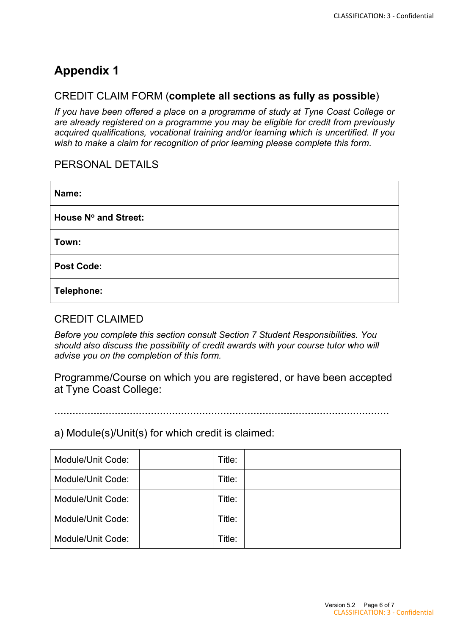## **Appendix 1**

## CREDIT CLAIM FORM (**complete all sections as fully as possible**)

*If you have been offered a place on a programme of study at Tyne Coast College or are already registered on a programme you may be eligible for credit from previously acquired qualifications, vocational training and/or learning which is uncertified. If you wish to make a claim for recognition of prior learning please complete this form.* 

## PERSONAL DETAILS

| Name:                |  |
|----------------------|--|
| House Nº and Street: |  |
| Town:                |  |
| <b>Post Code:</b>    |  |
| <b>Telephone:</b>    |  |

### CREDIT CLAIMED

*Before you complete this section consult Section 7 Student Responsibilities. You should also discuss the possibility of credit awards with your course tutor who will advise you on the completion of this form.* 

Programme/Course on which you are registered, or have been accepted at Tyne Coast College:

**…………………………………………………………………………………………………** 

a) Module(s)/Unit(s) for which credit is claimed:

| Module/Unit Code: | Title: |  |
|-------------------|--------|--|
| Module/Unit Code: | Title: |  |
| Module/Unit Code: | Title: |  |
| Module/Unit Code: | Title: |  |
| Module/Unit Code: | Title: |  |